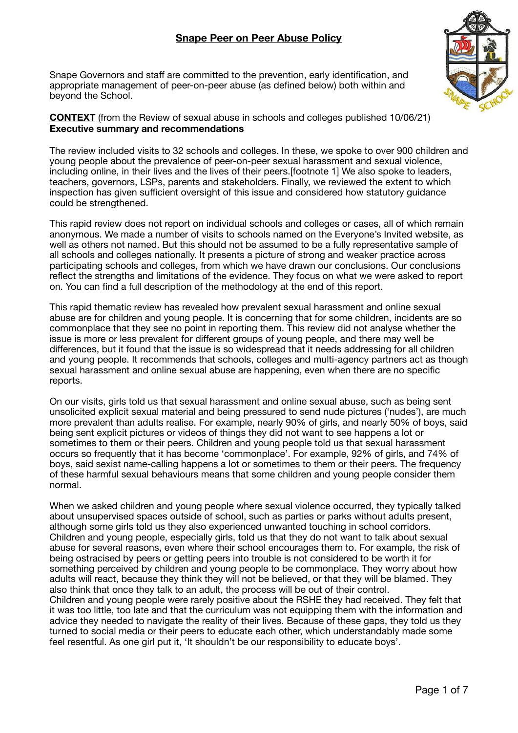Snape Governors and staff are committed to the prevention, early identification, and appropriate management of peer-on-peer abuse (as defined below) both within and beyond the School.



**CONTEXT** (from the Review of sexual abuse in schools and colleges published 10/06/21) **Executive summary and recommendations** 

The review included visits to 32 schools and colleges. In these, we spoke to over 900 children and young people about the prevalence of peer-on-peer sexual harassment and sexual violence, including online, in their lives and the lives of their peers.[footnote 1] We also spoke to leaders, teachers, governors, LSPs, parents and stakeholders. Finally, we reviewed the extent to which inspection has given sufficient oversight of this issue and considered how statutory guidance could be strengthened.

This rapid review does not report on individual schools and colleges or cases, all of which remain anonymous. We made a number of visits to schools named on the Everyone's Invited website, as well as others not named. But this should not be assumed to be a fully representative sample of all schools and colleges nationally. It presents a picture of strong and weaker practice across participating schools and colleges, from which we have drawn our conclusions. Our conclusions reflect the strengths and limitations of the evidence. They focus on what we were asked to report on. You can find a full description of the methodology at the end of this report.

This rapid thematic review has revealed how prevalent sexual harassment and online sexual abuse are for children and young people. It is concerning that for some children, incidents are so commonplace that they see no point in reporting them. This review did not analyse whether the issue is more or less prevalent for different groups of young people, and there may well be differences, but it found that the issue is so widespread that it needs addressing for all children and young people. It recommends that schools, colleges and multi-agency partners act as though sexual harassment and online sexual abuse are happening, even when there are no specific reports.

On our visits, girls told us that sexual harassment and online sexual abuse, such as being sent unsolicited explicit sexual material and being pressured to send nude pictures ('nudes'), are much more prevalent than adults realise. For example, nearly 90% of girls, and nearly 50% of boys, said being sent explicit pictures or videos of things they did not want to see happens a lot or sometimes to them or their peers. Children and young people told us that sexual harassment occurs so frequently that it has become 'commonplace'. For example, 92% of girls, and 74% of boys, said sexist name-calling happens a lot or sometimes to them or their peers. The frequency of these harmful sexual behaviours means that some children and young people consider them normal.

When we asked children and young people where sexual violence occurred, they typically talked about unsupervised spaces outside of school, such as parties or parks without adults present, although some girls told us they also experienced unwanted touching in school corridors. Children and young people, especially girls, told us that they do not want to talk about sexual abuse for several reasons, even where their school encourages them to. For example, the risk of being ostracised by peers or getting peers into trouble is not considered to be worth it for something perceived by children and young people to be commonplace. They worry about how adults will react, because they think they will not be believed, or that they will be blamed. They also think that once they talk to an adult, the process will be out of their control. Children and young people were rarely positive about the RSHE they had received. They felt that it was too little, too late and that the curriculum was not equipping them with the information and advice they needed to navigate the reality of their lives. Because of these gaps, they told us they turned to social media or their peers to educate each other, which understandably made some feel resentful. As one girl put it, 'It shouldn't be our responsibility to educate boys'.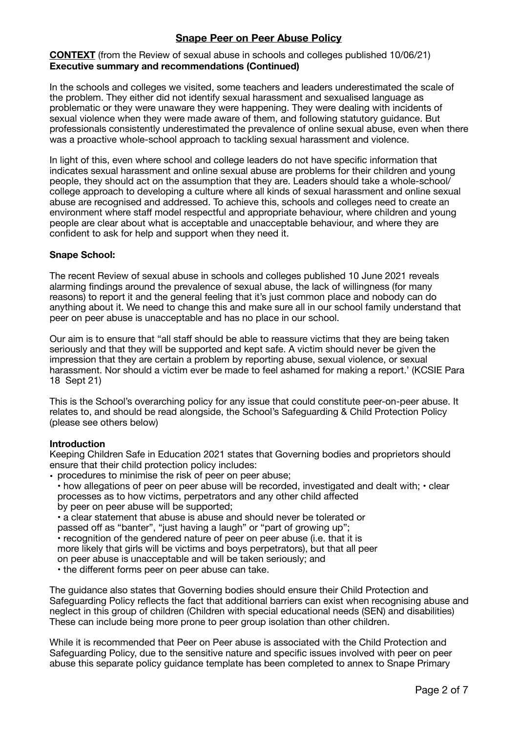# **CONTEXT** (from the Review of sexual abuse in schools and colleges published 10/06/21) **Executive summary and recommendations (Continued)**

In the schools and colleges we visited, some teachers and leaders underestimated the scale of the problem. They either did not identify sexual harassment and sexualised language as problematic or they were unaware they were happening. They were dealing with incidents of sexual violence when they were made aware of them, and following statutory guidance. But professionals consistently underestimated the prevalence of online sexual abuse, even when there was a proactive whole-school approach to tackling sexual harassment and violence.

In light of this, even where school and college leaders do not have specific information that indicates sexual harassment and online sexual abuse are problems for their children and young people, they should act on the assumption that they are. Leaders should take a whole-school/ college approach to developing a culture where all kinds of sexual harassment and online sexual abuse are recognised and addressed. To achieve this, schools and colleges need to create an environment where staff model respectful and appropriate behaviour, where children and young people are clear about what is acceptable and unacceptable behaviour, and where they are confident to ask for help and support when they need it.

# **Snape School:**

The recent Review of sexual abuse in schools and colleges published 10 June 2021 reveals alarming findings around the prevalence of sexual abuse, the lack of willingness (for many reasons) to report it and the general feeling that it's just common place and nobody can do anything about it. We need to change this and make sure all in our school family understand that peer on peer abuse is unacceptable and has no place in our school.

Our aim is to ensure that "all staff should be able to reassure victims that they are being taken seriously and that they will be supported and kept safe. A victim should never be given the impression that they are certain a problem by reporting abuse, sexual violence, or sexual harassment. Nor should a victim ever be made to feel ashamed for making a report.' (KCSIE Para 18 Sept 21)

This is the School's overarching policy for any issue that could constitute peer-on-peer abuse. It relates to, and should be read alongside, the School's Safeguarding & Child Protection Policy (please see others below)

### **Introduction**

Keeping Children Safe in Education 2021 states that Governing bodies and proprietors should ensure that their child protection policy includes:

• procedures to minimise the risk of peer on peer abuse;

• how allegations of peer on peer abuse will be recorded, investigated and dealt with; • clear processes as to how victims, perpetrators and any other child affected by peer on peer abuse will be supported;

• a clear statement that abuse is abuse and should never be tolerated or

passed off as "banter", "just having a laugh" or "part of growing up";

• recognition of the gendered nature of peer on peer abuse (i.e. that it is

more likely that girls will be victims and boys perpetrators), but that all peer

on peer abuse is unacceptable and will be taken seriously; and

• the different forms peer on peer abuse can take.

The guidance also states that Governing bodies should ensure their Child Protection and Safeguarding Policy reflects the fact that additional barriers can exist when recognising abuse and neglect in this group of children (Children with special educational needs (SEN) and disabilities) These can include being more prone to peer group isolation than other children.

While it is recommended that Peer on Peer abuse is associated with the Child Protection and Safeguarding Policy, due to the sensitive nature and specific issues involved with peer on peer abuse this separate policy guidance template has been completed to annex to Snape Primary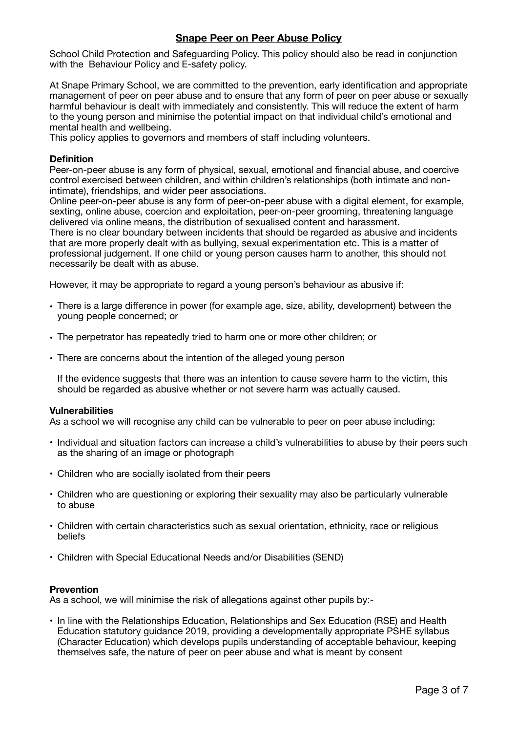School Child Protection and Safeguarding Policy. This policy should also be read in conjunction with the Behaviour Policy and E-safety policy.

At Snape Primary School, we are committed to the prevention, early identification and appropriate management of peer on peer abuse and to ensure that any form of peer on peer abuse or sexually harmful behaviour is dealt with immediately and consistently. This will reduce the extent of harm to the young person and minimise the potential impact on that individual child's emotional and mental health and wellbeing.

This policy applies to governors and members of staff including volunteers.

## **Definition**

Peer-on-peer abuse is any form of physical, sexual, emotional and financial abuse, and coercive control exercised between children, and within children's relationships (both intimate and nonintimate), friendships, and wider peer associations.

Online peer-on-peer abuse is any form of peer-on-peer abuse with a digital element, for example, sexting, online abuse, coercion and exploitation, peer-on-peer grooming, threatening language delivered via online means, the distribution of sexualised content and harassment.

There is no clear boundary between incidents that should be regarded as abusive and incidents that are more properly dealt with as bullying, sexual experimentation etc. This is a matter of professional judgement. If one child or young person causes harm to another, this should not necessarily be dealt with as abuse.

However, it may be appropriate to regard a young person's behaviour as abusive if:

- There is a large difference in power (for example age, size, ability, development) between the young people concerned; or
- The perpetrator has repeatedly tried to harm one or more other children; or
- There are concerns about the intention of the alleged young person

If the evidence suggests that there was an intention to cause severe harm to the victim, this should be regarded as abusive whether or not severe harm was actually caused.

### **Vulnerabilities**

As a school we will recognise any child can be vulnerable to peer on peer abuse including:

- Individual and situation factors can increase a child's vulnerabilities to abuse by their peers such as the sharing of an image or photograph
- Children who are socially isolated from their peers
- Children who are questioning or exploring their sexuality may also be particularly vulnerable to abuse
- Children with certain characteristics such as sexual orientation, ethnicity, race or religious beliefs
- Children with Special Educational Needs and/or Disabilities (SEND)

# **Prevention**

As a school, we will minimise the risk of allegations against other pupils by:-

• In line with the Relationships Education, Relationships and Sex Education (RSE) and Health Education statutory guidance 2019, providing a developmentally appropriate PSHE syllabus (Character Education) which develops pupils understanding of acceptable behaviour, keeping themselves safe, the nature of peer on peer abuse and what is meant by consent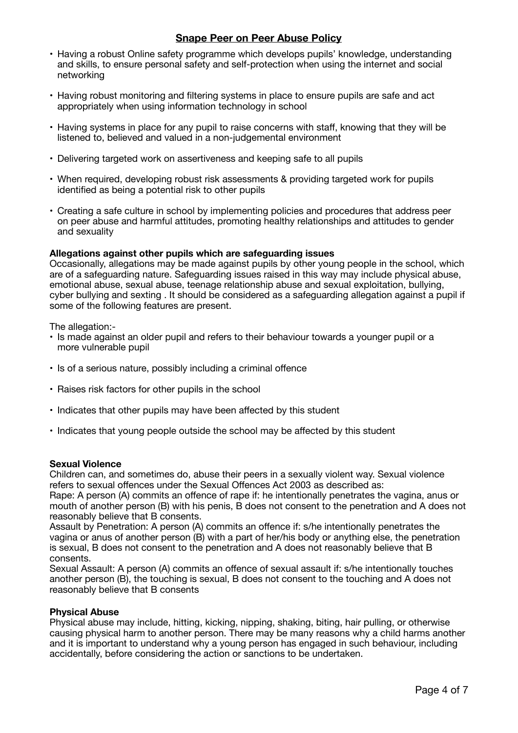- Having a robust Online safety programme which develops pupils' knowledge, understanding and skills, to ensure personal safety and self-protection when using the internet and social networking
- Having robust monitoring and filtering systems in place to ensure pupils are safe and act appropriately when using information technology in school
- Having systems in place for any pupil to raise concerns with staff, knowing that they will be listened to, believed and valued in a non-judgemental environment
- Delivering targeted work on assertiveness and keeping safe to all pupils
- When required, developing robust risk assessments & providing targeted work for pupils identified as being a potential risk to other pupils
- Creating a safe culture in school by implementing policies and procedures that address peer on peer abuse and harmful attitudes, promoting healthy relationships and attitudes to gender and sexuality

## **Allegations against other pupils which are safeguarding issues**

Occasionally, allegations may be made against pupils by other young people in the school, which are of a safeguarding nature. Safeguarding issues raised in this way may include physical abuse, emotional abuse, sexual abuse, teenage relationship abuse and sexual exploitation, bullying, cyber bullying and sexting . It should be considered as a safeguarding allegation against a pupil if some of the following features are present.

The allegation:-

- Is made against an older pupil and refers to their behaviour towards a younger pupil or a more vulnerable pupil
- Is of a serious nature, possibly including a criminal offence
- Raises risk factors for other pupils in the school
- Indicates that other pupils may have been affected by this student
- Indicates that young people outside the school may be affected by this student

## **Sexual Violence**

Children can, and sometimes do, abuse their peers in a sexually violent way. Sexual violence refers to sexual offences under the Sexual Offences Act 2003 as described as:

Rape: A person (A) commits an offence of rape if: he intentionally penetrates the vagina, anus or mouth of another person (B) with his penis, B does not consent to the penetration and A does not reasonably believe that B consents.

Assault by Penetration: A person (A) commits an offence if: s/he intentionally penetrates the vagina or anus of another person (B) with a part of her/his body or anything else, the penetration is sexual, B does not consent to the penetration and A does not reasonably believe that B consents.

Sexual Assault: A person (A) commits an offence of sexual assault if: s/he intentionally touches another person (B), the touching is sexual, B does not consent to the touching and A does not reasonably believe that B consents

### **Physical Abuse**

Physical abuse may include, hitting, kicking, nipping, shaking, biting, hair pulling, or otherwise causing physical harm to another person. There may be many reasons why a child harms another and it is important to understand why a young person has engaged in such behaviour, including accidentally, before considering the action or sanctions to be undertaken.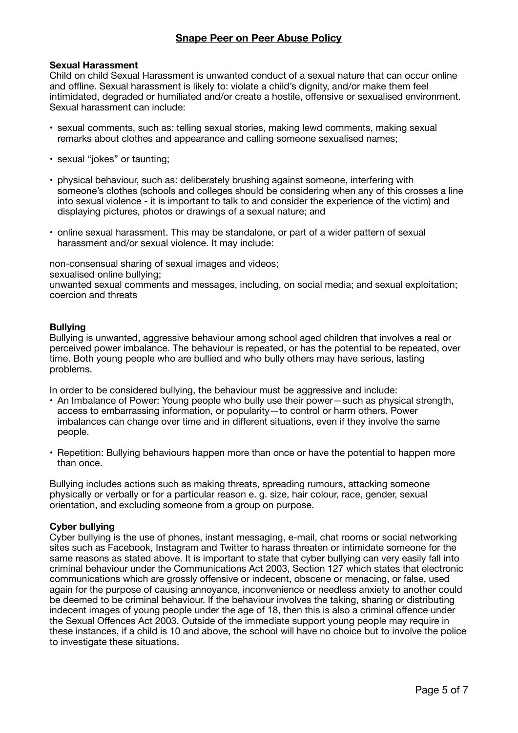### **Sexual Harassment**

Child on child Sexual Harassment is unwanted conduct of a sexual nature that can occur online and offline. Sexual harassment is likely to: violate a child's dignity, and/or make them feel intimidated, degraded or humiliated and/or create a hostile, offensive or sexualised environment. Sexual harassment can include:

- sexual comments, such as: telling sexual stories, making lewd comments, making sexual remarks about clothes and appearance and calling someone sexualised names;
- sexual "jokes" or taunting;
- physical behaviour, such as: deliberately brushing against someone, interfering with someone's clothes (schools and colleges should be considering when any of this crosses a line into sexual violence - it is important to talk to and consider the experience of the victim) and displaying pictures, photos or drawings of a sexual nature; and
- online sexual harassment. This may be standalone, or part of a wider pattern of sexual harassment and/or sexual violence. It may include:

non-consensual sharing of sexual images and videos;

sexualised online bullying;

unwanted sexual comments and messages, including, on social media; and sexual exploitation; coercion and threats

## **Bullying**

Bullying is unwanted, aggressive behaviour among school aged children that involves a real or perceived power imbalance. The behaviour is repeated, or has the potential to be repeated, over time. Both young people who are bullied and who bully others may have serious, lasting problems.

In order to be considered bullying, the behaviour must be aggressive and include:

- An Imbalance of Power: Young people who bully use their power—such as physical strength, access to embarrassing information, or popularity—to control or harm others. Power imbalances can change over time and in different situations, even if they involve the same people.
- Repetition: Bullying behaviours happen more than once or have the potential to happen more than once.

Bullying includes actions such as making threats, spreading rumours, attacking someone physically or verbally or for a particular reason e. g. size, hair colour, race, gender, sexual orientation, and excluding someone from a group on purpose.

### **Cyber bullying**

Cyber bullying is the use of phones, instant messaging, e-mail, chat rooms or social networking sites such as Facebook, Instagram and Twitter to harass threaten or intimidate someone for the same reasons as stated above. It is important to state that cyber bullying can very easily fall into criminal behaviour under the Communications Act 2003, Section 127 which states that electronic communications which are grossly offensive or indecent, obscene or menacing, or false, used again for the purpose of causing annoyance, inconvenience or needless anxiety to another could be deemed to be criminal behaviour. If the behaviour involves the taking, sharing or distributing indecent images of young people under the age of 18, then this is also a criminal offence under the Sexual Offences Act 2003. Outside of the immediate support young people may require in these instances, if a child is 10 and above, the school will have no choice but to involve the police to investigate these situations.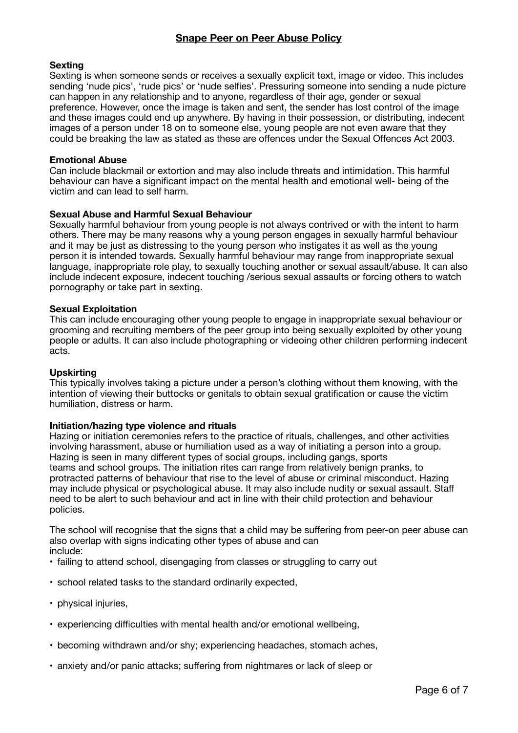## **Sexting**

Sexting is when someone sends or receives a sexually explicit text, image or video. This includes sending 'nude pics', 'rude pics' or 'nude selfies'. Pressuring someone into sending a nude picture can happen in any relationship and to anyone, regardless of their age, gender or sexual preference. However, once the image is taken and sent, the sender has lost control of the image and these images could end up anywhere. By having in their possession, or distributing, indecent images of a person under 18 on to someone else, young people are not even aware that they could be breaking the law as stated as these are offences under the Sexual Offences Act 2003.

## **Emotional Abuse**

Can include blackmail or extortion and may also include threats and intimidation. This harmful behaviour can have a significant impact on the mental health and emotional well- being of the victim and can lead to self harm.

## **Sexual Abuse and Harmful Sexual Behaviour**

Sexually harmful behaviour from young people is not always contrived or with the intent to harm others. There may be many reasons why a young person engages in sexually harmful behaviour and it may be just as distressing to the young person who instigates it as well as the young person it is intended towards. Sexually harmful behaviour may range from inappropriate sexual language, inappropriate role play, to sexually touching another or sexual assault/abuse. It can also include indecent exposure, indecent touching /serious sexual assaults or forcing others to watch pornography or take part in sexting.

### **Sexual Exploitation**

This can include encouraging other young people to engage in inappropriate sexual behaviour or grooming and recruiting members of the peer group into being sexually exploited by other young people or adults. It can also include photographing or videoing other children performing indecent acts.

### **Upskirting**

This typically involves taking a picture under a person's clothing without them knowing, with the intention of viewing their buttocks or genitals to obtain sexual gratification or cause the victim humiliation, distress or harm.

### **Initiation/hazing type violence and rituals**

Hazing or initiation ceremonies refers to the practice of rituals, challenges, and other activities involving harassment, abuse or humiliation used as a way of initiating a person into a group. Hazing is seen in many different types of social groups, including gangs, sports teams and school groups. The initiation rites can range from relatively benign pranks, to protracted patterns of behaviour that rise to the level of abuse or criminal misconduct. Hazing may include physical or psychological abuse. It may also include nudity or sexual assault. Staff need to be alert to such behaviour and act in line with their child protection and behaviour policies.

The school will recognise that the signs that a child may be suffering from peer-on peer abuse can also overlap with signs indicating other types of abuse and can include:

- failing to attend school, disengaging from classes or struggling to carry out
- school related tasks to the standard ordinarily expected,
- physical injuries,
- experiencing difficulties with mental health and/or emotional wellbeing,
- becoming withdrawn and/or shy; experiencing headaches, stomach aches,
- anxiety and/or panic attacks; suffering from nightmares or lack of sleep or